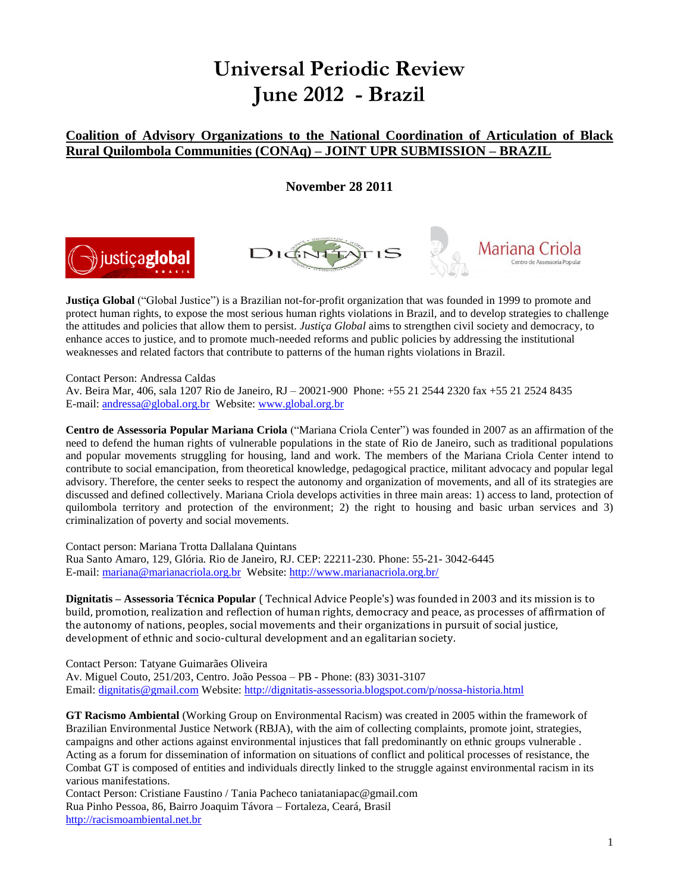# **Universal Periodic Review June 2012 - Brazil**

## **Coalition of Advisory Organizations to the National Coordination of Articulation of Black Rural Quilombola Communities (CONAq) – JOINT UPR SUBMISSION – BRAZIL**

**November 28 2011**

Mariana (





**Justiça Global** ("Global Justice") is a Brazilian not-for-profit organization that was founded in 1999 to promote and protect human rights, to expose the most serious human rights violations in Brazil, and to develop strategies to challenge the attitudes and policies that allow them to persist. *Justiça Global* aims to strengthen civil society and democracy, to enhance acces to justice, and to promote much-needed reforms and public policies by addressing the institutional weaknesses and related factors that contribute to patterns of the human rights violations in Brazil.

Contact Person: Andressa Caldas

Av. Beira Mar, 406, sala 1207 Rio de Janeiro, RJ – 20021-900 Phone: +55 21 2544 2320 fax +55 21 2524 8435 E-mail: [andressa@global.org.br](mailto:andressa@global.org.br) Website: [www.global.org.br](http://www.global.org.br/) 

**Centro de Assessoria Popular Mariana Criola** ("Mariana Criola Center") was founded in 2007 as an affirmation of the need to defend the human rights of vulnerable populations in the state of Rio de Janeiro, such as traditional populations and popular movements struggling for housing, land and work. The members of the Mariana Criola Center intend to contribute to social emancipation, from theoretical knowledge, pedagogical practice, militant advocacy and popular legal advisory. Therefore, the center seeks to respect the autonomy and organization of movements, and all of its strategies are discussed and defined collectively. Mariana Criola develops activities in three main areas: 1) access to land, protection of quilombola territory and protection of the environment; 2) the right to housing and basic urban services and 3) criminalization of poverty and social movements.

Contact person: Mariana Trotta Dallalana Quintans Rua Santo Amaro, 129, Glória. Rio de Janeiro, RJ. CEP: 22211-230. Phone: 55-21- 3042-6445 E-mail: [mariana@marianacriola.org.br](mailto:mariana@marianacriola.org.br) Website:<http://www.marianacriola.org.br/>

**Dignitatis – Assessoria Técnica Popular** ( Technical Advice People's) was founded in 2003 and its mission is to build, promotion, realization and reflection of human rights, democracy and peace, as processes of affirmation of the autonomy of nations, peoples, social movements and their organizations in pursuit of social justice, development of ethnic and socio-cultural development and an egalitarian society.

Contact Person: Tatyane Guimarães Oliveira Av. Miguel Couto, 251/203, Centro. João Pessoa – PB - Phone: (83) 3031-3107 Email: [dignitatis@gmail.com](mailto:dignitatis@gmail.com) Website:<http://dignitatis-assessoria.blogspot.com/p/nossa-historia.html>

**GT Racismo Ambiental** (Working Group on Environmental Racism) was created in 2005 within the framework of Brazilian Environmental Justice Network (RBJA), with the aim of collecting complaints, promote joint, strategies, campaigns and other actions against environmental injustices that fall predominantly on ethnic groups vulnerable . Acting as a forum for dissemination of information on situations of conflict and political processes of resistance, the Combat GT is composed of entities and individuals directly linked to the struggle against environmental racism in its various manifestations.

Contact Person: Cristiane Faustino / Tania Pacheco taniataniapac@gmail.com Rua Pinho Pessoa, 86, Bairro Joaquim Távora – Fortaleza, Ceará, Brasil [http://racismoambiental.net.br](http://racismoambiental.net.br/)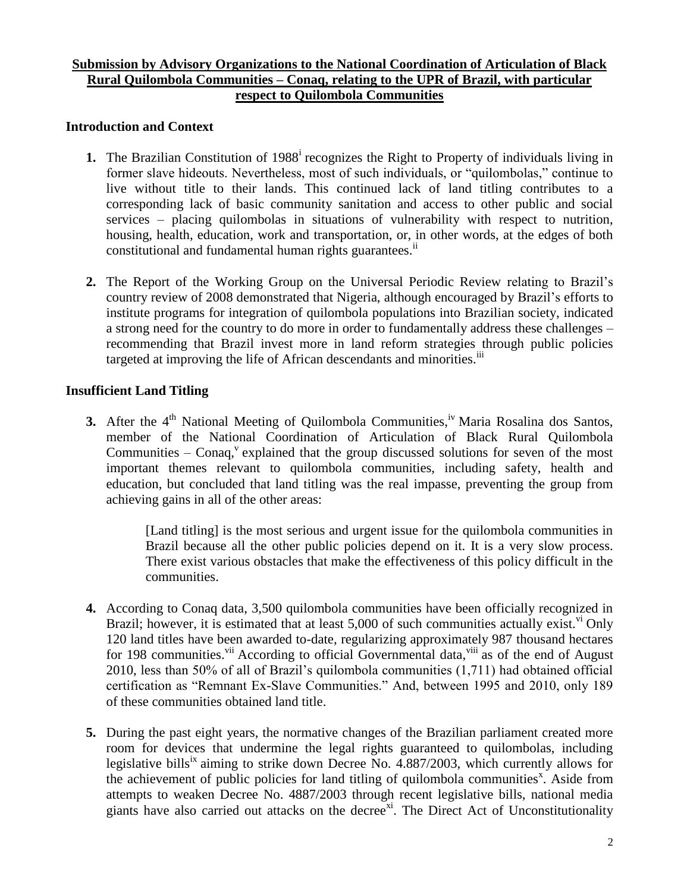## **Submission by Advisory Organizations to the National Coordination of Articulation of Black Rural Quilombola Communities – Conaq, relating to the UPR of Brazil, with particular respect to Quilombola Communities**

## **Introduction and Context**

- 1. The Brazilian Constitution of 1988<sup>i</sup> recognizes the Right to Property of individuals living in former slave hideouts. Nevertheless, most of such individuals, or "quilombolas," continue to live without title to their lands. This continued lack of land titling contributes to a corresponding lack of basic community sanitation and access to other public and social services – placing quilombolas in situations of vulnerability with respect to nutrition, housing, health, education, work and transportation, or, in other words, at the edges of both constitutional and fundamental human rights guarantees.<sup>ii</sup>
- **2.** The Report of the Working Group on the Universal Periodic Review relating to Brazil's country review of 2008 demonstrated that Nigeria, although encouraged by Brazil's efforts to institute programs for integration of quilombola populations into Brazilian society, indicated a strong need for the country to do more in order to fundamentally address these challenges – recommending that Brazil invest more in land reform strategies through public policies targeted at improving the life of African descendants and minorities.<sup>iii</sup>

## **Insufficient Land Titling**

**3.** After the 4<sup>th</sup> National Meeting of Quilombola Communities,<sup>iv</sup> Maria Rosalina dos Santos, member of the National Coordination of Articulation of Black Rural Quilombola Communities  $-$  Conaq,<sup>v</sup> explained that the group discussed solutions for seven of the most important themes relevant to quilombola communities, including safety, health and education, but concluded that land titling was the real impasse, preventing the group from achieving gains in all of the other areas:

> [Land titling] is the most serious and urgent issue for the quilombola communities in Brazil because all the other public policies depend on it. It is a very slow process. There exist various obstacles that make the effectiveness of this policy difficult in the communities.

- **4.** According to Conaq data, 3,500 quilombola communities have been officially recognized in Brazil; however, it is estimated that at least  $5,000$  of such communities actually exist.<sup>vi</sup> Only 120 land titles have been awarded to-date, regularizing approximately 987 thousand hectares for 198 communities.<sup>vii</sup> According to official Governmental data,<sup>viii</sup> as of the end of August 2010, less than 50% of all of Brazil's quilombola communities (1,711) had obtained official certification as "Remnant Ex-Slave Communities." And, between 1995 and 2010, only 189 of these communities obtained land title.
- **5.** During the past eight years, the normative changes of the Brazilian parliament created more room for devices that undermine the legal rights guaranteed to quilombolas, including legislative bills<sup>ix</sup> aiming to strike down Decree No.  $4.887/2003$ , which currently allows for the achievement of public policies for land titling of quilombola communities<sup>x</sup>. Aside from attempts to weaken Decree No. 4887/2003 through recent legislative bills, national media giants have also carried out attacks on the decree<sup>xi</sup>. The Direct Act of Unconstitutionality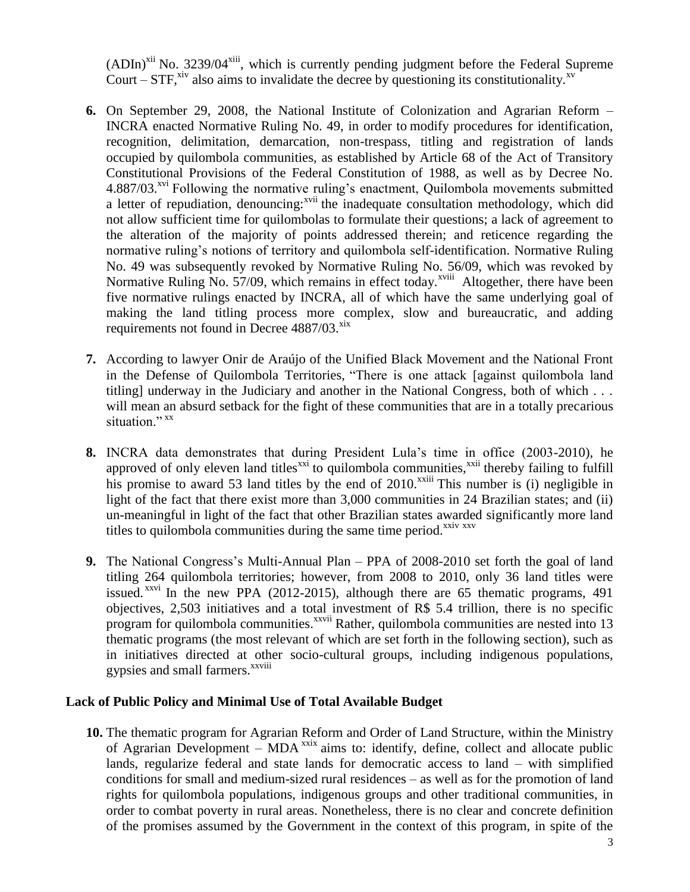$(ADIn)^{xii}$  No. 3239/04 $^{xiii}$ , which is currently pending judgment before the Federal Supreme Court – STF,<sup>xiv</sup> also aims to invalidate the decree by questioning its constitutionality.<sup>xv</sup>

- **6.** On September 29, 2008, the National Institute of Colonization and Agrarian Reform INCRA enacted Normative Ruling No. 49, in order to modify procedures for identification, recognition, delimitation, demarcation, non-trespass, titling and registration of lands occupied by quilombola communities, as established by Article 68 of the Act of Transitory Constitutional Provisions of the Federal Constitution of 1988, as well as by Decree No. 4.887/03.<sup>xvi</sup> Following the normative ruling's enactment, Quilombola movements submitted a letter of repudiation, denouncing:<sup>xvii</sup> the inadequate consultation methodology, which did not allow sufficient time for quilombolas to formulate their questions; a lack of agreement to the alteration of the majority of points addressed therein; and reticence regarding the normative ruling's notions of territory and quilombola self-identification. Normative Ruling No. 49 was subsequently revoked by Normative Ruling No. 56/09, which was revoked by Normative Ruling No.  $57/09$ , which remains in effect today.<sup>xviii</sup> Altogether, there have been five normative rulings enacted by INCRA, all of which have the same underlying goal of making the land titling process more complex, slow and bureaucratic, and adding requirements not found in Decree  $4887/03$ . $x$
- **7.** According to lawyer Onir de Araújo of the Unified Black Movement and the National Front in the Defense of Quilombola Territories, "There is one attack [against quilombola land titling] underway in the Judiciary and another in the National Congress, both of which . . . will mean an absurd setback for the fight of these communities that are in a totally precarious situation." xx
- **8.** INCRA data demonstrates that during President Lula's time in office (2003-2010), he approved of only eleven land titles<sup> $xxi$ </sup> to quilombola communities, $^{xxii}$  thereby failing to fulfill his promise to award 53 land titles by the end of  $2010$ .<sup>xxiii</sup> This number is (i) negligible in light of the fact that there exist more than 3,000 communities in 24 Brazilian states; and (ii) un-meaningful in light of the fact that other Brazilian states awarded significantly more land titles to quilombola communities during the same time period.<sup>xxiv xxv</sup>
- **9.** The National Congress's Multi-Annual Plan PPA of 2008-2010 set forth the goal of land titling 264 quilombola territories; however, from 2008 to 2010, only 36 land titles were issued.<sup> $xxi$ </sup> In the new PPA (2012-2015), although there are 65 thematic programs, 491 objectives, 2,503 initiatives and a total investment of R\$ 5.4 trillion, there is no specific program for quilombola communities.<sup>xxvii</sup> Rather, quilombola communities are nested into 13 thematic programs (the most relevant of which are set forth in the following section), such as in initiatives directed at other socio-cultural groups, including indigenous populations, gypsies and small farmers.<sup>xxviii</sup>

#### **Lack of Public Policy and Minimal Use of Total Available Budget**

**10.** The thematic program for Agrarian Reform and Order of Land Structure, within the Ministry of Agrarian Development – MDA<sup>xxix</sup> aims to: identify, define, collect and allocate public lands, regularize federal and state lands for democratic access to land – with simplified conditions for small and medium-sized rural residences – as well as for the promotion of land rights for quilombola populations, indigenous groups and other traditional communities, in order to combat poverty in rural areas. Nonetheless, there is no clear and concrete definition of the promises assumed by the Government in the context of this program, in spite of the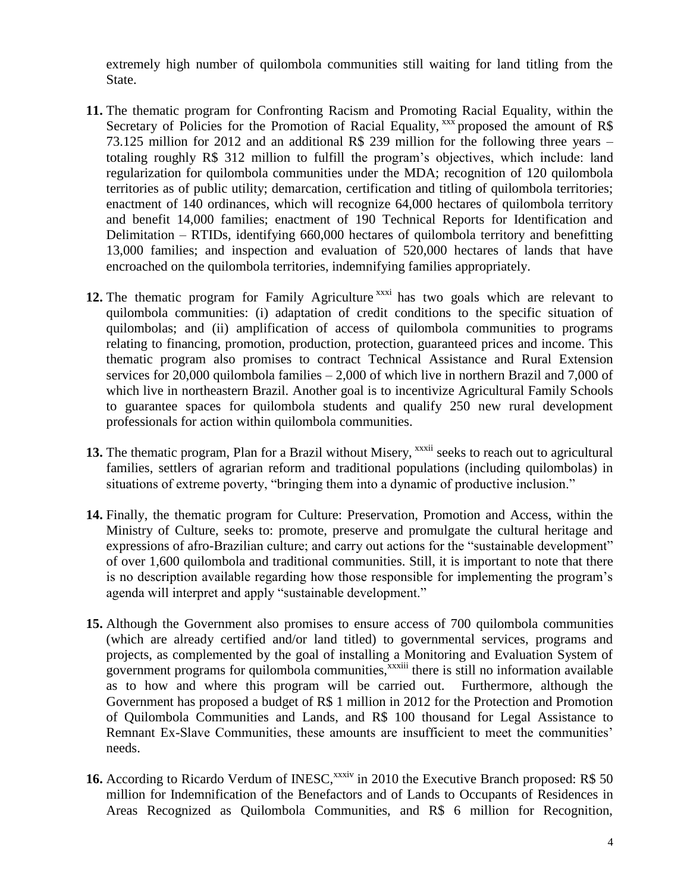extremely high number of quilombola communities still waiting for land titling from the State.

- **11.** The thematic program for Confronting Racism and Promoting Racial Equality, within the Secretary of Policies for the Promotion of Racial Equality,  $\frac{3}{x}$  proposed the amount of R\$ 73.125 million for 2012 and an additional R\$ 239 million for the following three years – totaling roughly R\$ 312 million to fulfill the program's objectives, which include: land regularization for quilombola communities under the MDA; recognition of 120 quilombola territories as of public utility; demarcation, certification and titling of quilombola territories; enactment of 140 ordinances, which will recognize 64,000 hectares of quilombola territory and benefit 14,000 families; enactment of 190 Technical Reports for Identification and Delimitation – RTIDs, identifying 660,000 hectares of quilombola territory and benefitting 13,000 families; and inspection and evaluation of 520,000 hectares of lands that have encroached on the quilombola territories, indemnifying families appropriately.
- 12. The thematic program for Family Agriculture<sup>xxxi</sup> has two goals which are relevant to quilombola communities: (i) adaptation of credit conditions to the specific situation of quilombolas; and (ii) amplification of access of quilombola communities to programs relating to financing, promotion, production, protection, guaranteed prices and income. This thematic program also promises to contract Technical Assistance and Rural Extension services for 20,000 quilombola families – 2,000 of which live in northern Brazil and 7,000 of which live in northeastern Brazil. Another goal is to incentivize Agricultural Family Schools to guarantee spaces for quilombola students and qualify 250 new rural development professionals for action within quilombola communities.
- 13. The thematic program, Plan for a Brazil without Misery, <sup>xxxii</sup> seeks to reach out to agricultural families, settlers of agrarian reform and traditional populations (including quilombolas) in situations of extreme poverty, "bringing them into a dynamic of productive inclusion."
- **14.** Finally, the thematic program for Culture: Preservation, Promotion and Access, within the Ministry of Culture, seeks to: promote, preserve and promulgate the cultural heritage and expressions of afro-Brazilian culture; and carry out actions for the "sustainable development" of over 1,600 quilombola and traditional communities. Still, it is important to note that there is no description available regarding how those responsible for implementing the program's agenda will interpret and apply "sustainable development."
- **15.** Although the Government also promises to ensure access of 700 quilombola communities (which are already certified and/or land titled) to governmental services, programs and projects, as complemented by the goal of installing a Monitoring and Evaluation System of government programs for quilombola communities,<sup>xxxiii</sup> there is still no information available as to how and where this program will be carried out. Furthermore, although the Government has proposed a budget of R\$ 1 million in 2012 for the Protection and Promotion of Quilombola Communities and Lands, and R\$ 100 thousand for Legal Assistance to Remnant Ex-Slave Communities, these amounts are insufficient to meet the communities' needs.
- 16. According to Ricardo Verdum of INESC,<sup>xxxiv</sup> in 2010 the Executive Branch proposed: R\$ 50 million for Indemnification of the Benefactors and of Lands to Occupants of Residences in Areas Recognized as Quilombola Communities, and R\$ 6 million for Recognition,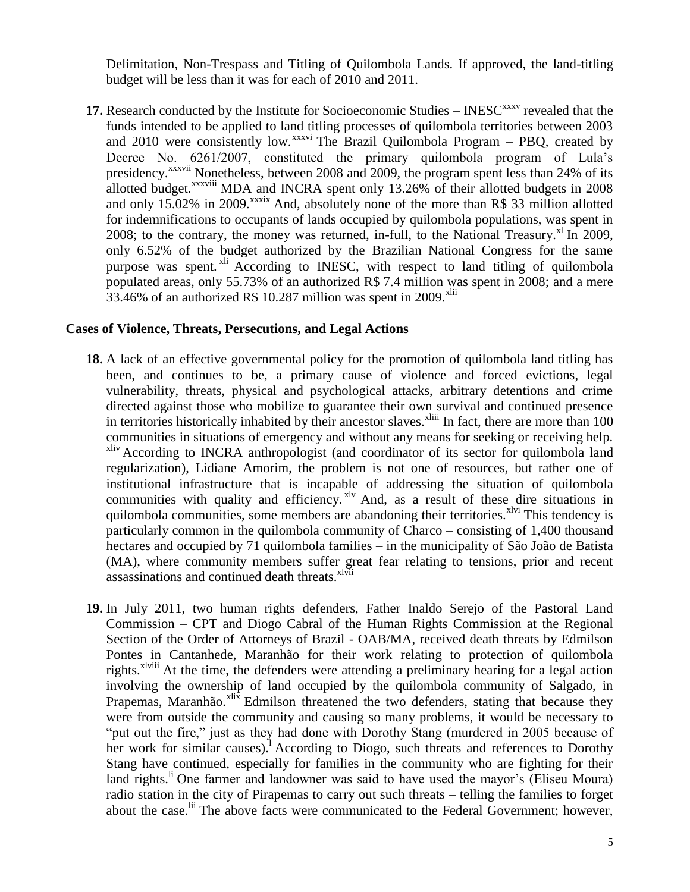Delimitation, Non-Trespass and Titling of Quilombola Lands. If approved, the land-titling budget will be less than it was for each of 2010 and 2011.

**17.** Research conducted by the Institute for Socioeconomic Studies – INESC<sup>xxxv</sup> revealed that the funds intended to be applied to land titling processes of quilombola territories between 2003 and 2010 were consistently low. $x^{xxxxi}$  The Brazil Quilombola Program – PBQ, created by Decree No. 6261/2007, constituted the primary quilombola program of Lula's presidency.<sup>xxxvii</sup> Nonetheless, between 2008 and 2009, the program spent less than 24% of its allotted budget.<sup>xxxviii</sup> MDA and INCRA spent only 13.26% of their allotted budgets in 2008 and only 15.02% in 2009.<sup>xxxix</sup> And, absolutely none of the more than R\$ 33 million allotted for indemnifications to occupants of lands occupied by quilombola populations, was spent in 2008; to the contrary, the money was returned, in-full, to the National Treasury.<sup>xl</sup> In 2009, only 6.52% of the budget authorized by the Brazilian National Congress for the same purpose was spent.<sup>xli</sup> According to INESC, with respect to land titling of quilombola populated areas, only 55.73% of an authorized R\$ 7.4 million was spent in 2008; and a mere 33.46% of an authorized R\$ 10.287 million was spent in 2009.<sup>xlii</sup>

#### **Cases of Violence, Threats, Persecutions, and Legal Actions**

- **18.** A lack of an effective governmental policy for the promotion of quilombola land titling has been, and continues to be, a primary cause of violence and forced evictions, legal vulnerability, threats, physical and psychological attacks, arbitrary detentions and crime directed against those who mobilize to guarantee their own survival and continued presence in territories historically inhabited by their ancestor slaves.<sup>xliii</sup> In fact, there are more than 100 communities in situations of emergency and without any means for seeking or receiving help. xliv According to INCRA anthropologist (and coordinator of its sector for quilombola land regularization), Lidiane Amorim, the problem is not one of resources, but rather one of institutional infrastructure that is incapable of addressing the situation of quilombola communities with quality and efficiency. <sup>xlv</sup> And, as a result of these dire situations in quilombola communities, some members are abandoning their territories. $x^{\text{1vi}}$  This tendency is particularly common in the quilombola community of Charco – consisting of 1,400 thousand hectares and occupied by 71 quilombola families – in the municipality of São João de Batista (MA), where community members suffer great fear relating to tensions, prior and recent assassinations and continued death threats.<sup>xlvii</sup>
- **19.** In July 2011, two human rights defenders, Father Inaldo Serejo of the Pastoral Land Commission – CPT and Diogo Cabral of the Human Rights Commission at the Regional Section of the Order of Attorneys of Brazil - OAB/MA, received death threats by Edmilson Pontes in Cantanhede, Maranhão for their work relating to protection of quilombola rights.<sup>xlviii</sup> At the time, the defenders were attending a preliminary hearing for a legal action involving the ownership of land occupied by the quilombola community of Salgado, in Prapemas, Maranhão.<sup>xlix</sup> Edmilson threatened the two defenders, stating that because they were from outside the community and causing so many problems, it would be necessary to "put out the fire," just as they had done with Dorothy Stang (murdered in 2005 because of her work for similar causes).<sup>1</sup> According to Diogo, such threats and references to Dorothy Stang have continued, especially for families in the community who are fighting for their land rights.<sup>li</sup> One farmer and landowner was said to have used the mayor's (Eliseu Moura) radio station in the city of Pirapemas to carry out such threats – telling the families to forget about the case.<sup>lii</sup> The above facts were communicated to the Federal Government; however,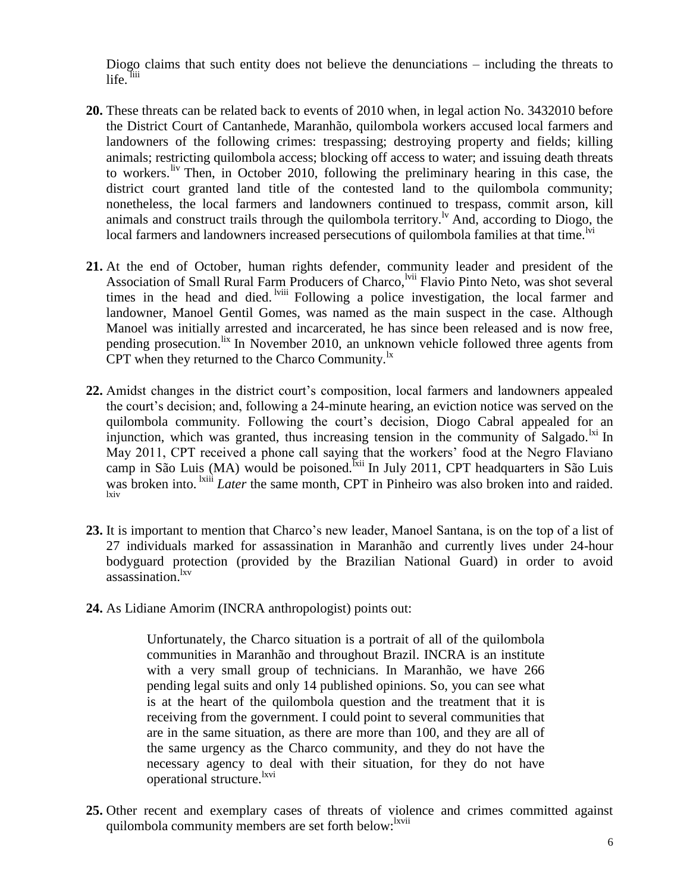Diogo claims that such entity does not believe the denunciations – including the threats to life. liii

- **20.** These threats can be related back to events of 2010 when, in legal action No. 3432010 before the District Court of Cantanhede, Maranhão, quilombola workers accused local farmers and landowners of the following crimes: trespassing; destroying property and fields; killing animals; restricting quilombola access; blocking off access to water; and issuing death threats to workers. It Then, in October 2010, following the preliminary hearing in this case, the district court granted land title of the contested land to the quilombola community; nonetheless, the local farmers and landowners continued to trespass, commit arson, kill animals and construct trails through the quilombola territory.<sup> $\nu$ </sup> And, according to Diogo, the local farmers and landowners increased persecutions of quilombola families at that time.<sup>Ivi</sup>
- **21.** At the end of October, human rights defender, community leader and president of the Association of Small Rural Farm Producers of Charco, <sup>Ivii</sup> Flavio Pinto Neto, was shot several times in the head and died. <sup>Iviii</sup> Following a police investigation, the local farmer and landowner, Manoel Gentil Gomes, was named as the main suspect in the case. Although Manoel was initially arrested and incarcerated, he has since been released and is now free, pending prosecution. lix In November 2010, an unknown vehicle followed three agents from CPT when they returned to the Charco Community. $\frac{dx}{dt}$
- **22.** Amidst changes in the district court's composition, local farmers and landowners appealed the court's decision; and, following a 24-minute hearing, an eviction notice was served on the quilombola community. Following the court's decision, Diogo Cabral appealed for an injunction, which was granted, thus increasing tension in the community of Salgado.  $\frac{1}{12}$  In May 2011, CPT received a phone call saying that the workers' food at the Negro Flaviano camp in São Luis (MA) would be poisoned.<sup>Ixii</sup> In July 2011, CPT headquarters in São Luis was broken into. <sup>1xiii</sup> *Later* the same month, CPT in Pinheiro was also broken into and raided. lxiv
- **23.** It is important to mention that Charco's new leader, Manoel Santana, is on the top of a list of 27 individuals marked for assassination in Maranhão and currently lives under 24-hour bodyguard protection (provided by the Brazilian National Guard) in order to avoid assassination.<sup>lxv</sup>
- **24.** As Lidiane Amorim (INCRA anthropologist) points out:

Unfortunately, the Charco situation is a portrait of all of the quilombola communities in Maranhão and throughout Brazil. INCRA is an institute with a very small group of technicians. In Maranhão, we have 266 pending legal suits and only 14 published opinions. So, you can see what is at the heart of the quilombola question and the treatment that it is receiving from the government. I could point to several communities that are in the same situation, as there are more than 100, and they are all of the same urgency as the Charco community, and they do not have the necessary agency to deal with their situation, for they do not have operational structure.<sup>lxvi</sup>

**25.** Other recent and exemplary cases of threats of violence and crimes committed against quilombola community members are set forth below: <sup>lxvii</sup>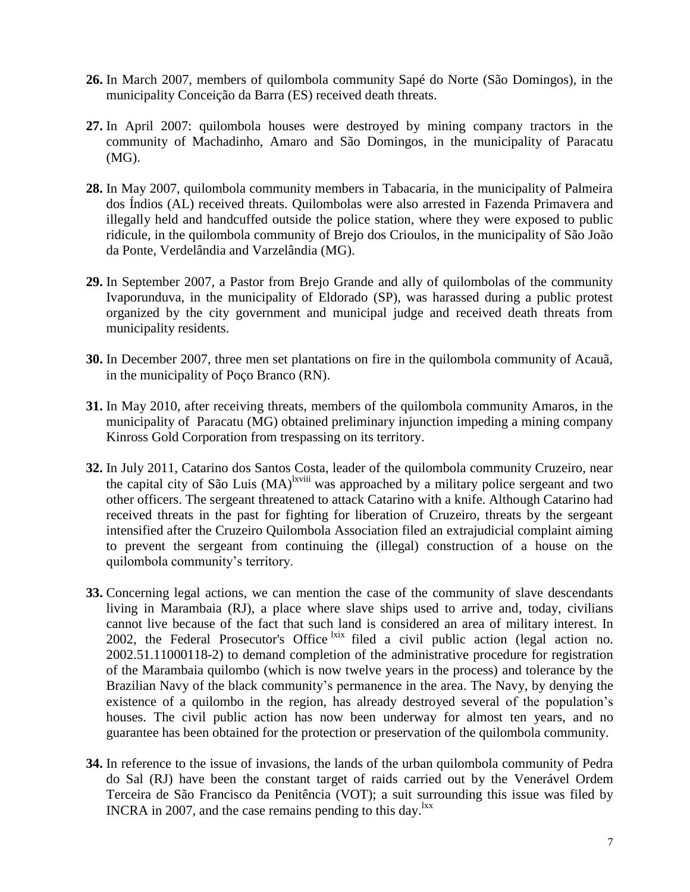- **26.** In March 2007, members of quilombola community Sapé do Norte (São Domingos), in the municipality Conceição da Barra (ES) received death threats.
- **27.** In April 2007: quilombola houses were destroyed by mining company tractors in the community of Machadinho, Amaro and São Domingos, in the municipality of Paracatu (MG).
- **28.** In May 2007, quilombola community members in Tabacaria, in the municipality of Palmeira dos Índios (AL) received threats. Quilombolas were also arrested in Fazenda Primavera and illegally held and handcuffed outside the police station, where they were exposed to public ridicule, in the quilombola community of Brejo dos Crioulos, in the municipality of São João da Ponte, Verdelândia and Varzelândia (MG).
- **29.** In September 2007, a Pastor from Brejo Grande and ally of quilombolas of the community Ivaporunduva, in the municipality of Eldorado (SP), was harassed during a public protest organized by the city government and municipal judge and received death threats from municipality residents.
- **30.** In December 2007, three men set plantations on fire in the quilombola community of Acauã, in the municipality of Poço Branco (RN).
- **31.** In May 2010, after receiving threats, members of the quilombola community Amaros, in the municipality of Paracatu (MG) obtained preliminary injunction impeding a mining company Kinross Gold Corporation from trespassing on its territory.
- **32.** In July 2011, Catarino dos Santos Costa, leader of the quilombola community Cruzeiro, near the capital city of São Luis (MA)<sup>lxviii</sup> was approached by a military police sergeant and two other officers. The sergeant threatened to attack Catarino with a knife. Although Catarino had received threats in the past for fighting for liberation of Cruzeiro, threats by the sergeant intensified after the Cruzeiro Quilombola Association filed an extrajudicial complaint aiming to prevent the sergeant from continuing the (illegal) construction of a house on the quilombola community's territory.
- **33.** Concerning legal actions, we can mention the case of the community of slave descendants living in Marambaia (RJ), a place where slave ships used to arrive and, today, civilians cannot live because of the fact that such land is considered an area of military interest. In 2002, the Federal Prosecutor's Office  $\frac{ix}{x}$  filed a civil public action (legal action no. 2002.51.11000118-2) to demand completion of the administrative procedure for registration of the Marambaia quilombo (which is now twelve years in the process) and tolerance by the Brazilian Navy of the black community's permanence in the area. The Navy, by denying the existence of a quilombo in the region, has already destroyed several of the population's houses. The civil public action has now been underway for almost ten years, and no guarantee has been obtained for the protection or preservation of the quilombola community.
- **34.** In reference to the issue of invasions, the lands of the urban quilombola community of Pedra do Sal (RJ) have been the constant target of raids carried out by the Venerável Ordem Terceira de São Francisco da Penitência (VOT); a suit surrounding this issue was filed by INCRA in 2007, and the case remains pending to this day. ${}^{lxx}$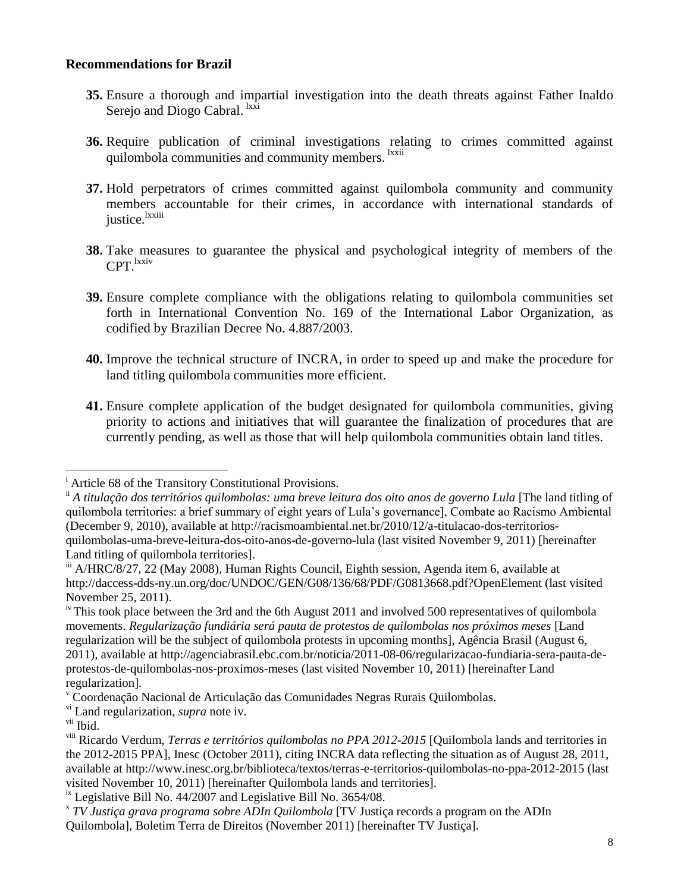#### **Recommendations for Brazil**

- **35.** Ensure a thorough and impartial investigation into the death threats against Father Inaldo Serejo and Diogo Cabral. <sup>lxxi</sup>
- **36.** Require publication of criminal investigations relating to crimes committed against quilombola communities and community members. <sup>Ixxii</sup>
- **37.** Hold perpetrators of crimes committed against quilombola community and community members accountable for their crimes, in accordance with international standards of justice.<sup>lxxiii</sup>
- **38.** Take measures to guarantee the physical and psychological integrity of members of the CPT. Ixxiv
- **39.** Ensure complete compliance with the obligations relating to quilombola communities set forth in International Convention No. 169 of the International Labor Organization, as codified by Brazilian Decree No. 4.887/2003.
- **40.** Improve the technical structure of INCRA, in order to speed up and make the procedure for land titling quilombola communities more efficient.
- **41.** Ensure complete application of the budget designated for quilombola communities, giving priority to actions and initiatives that will guarantee the finalization of procedures that are currently pending, as well as those that will help quilombola communities obtain land titles.

l

<sup>&</sup>lt;sup>i</sup> Article 68 of the Transitory Constitutional Provisions.

ii *A titulação dos territórios quilombolas: uma breve leitura dos oito anos de governo Lula* [The land titling of quilombola territories: a brief summary of eight years of Lula's governance], Combate ao Racismo Ambiental (December 9, 2010), available at http://racismoambiental.net.br/2010/12/a-titulacao-dos-territoriosquilombolas-uma-breve-leitura-dos-oito-anos-de-governo-lula (last visited November 9, 2011) [hereinafter Land titling of quilombola territories].

iii A/HRC/8/27, 22 (May 2008), Human Rights Council, Eighth session, Agenda item 6, available at http://daccess-dds-ny.un.org/doc/UNDOC/GEN/G08/136/68/PDF/G0813668.pdf?OpenElement (last visited November 25, 2011).

<sup>&</sup>lt;sup>iv</sup> This took place between the 3rd and the 6th August 2011 and involved 500 representatives of quilombola movements. *Regularização fundiária será pauta de protestos de quilombolas nos próximos meses* [Land regularization will be the subject of quilombola protests in upcoming months], Agência Brasil (August 6, 2011), available at http://agenciabrasil.ebc.com.br/noticia/2011-08-06/regularizacao-fundiaria-sera-pauta-deprotestos-de-quilombolas-nos-proximos-meses (last visited November 10, 2011) [hereinafter Land regularization].

<sup>v</sup> Coordenação Nacional de Articulação das Comunidades Negras Rurais Quilombolas.

vi Land regularization, *supra* note iv.

vii Ibid.

viii Ricardo Verdum, *Terras e territórios quilombolas no PPA 2012-2015* [Quilombola lands and territories in the 2012-2015 PPA], Inesc (October 2011), citing INCRA data reflecting the situation as of August 28, 2011, available at http://www.inesc.org.br/biblioteca/textos/terras-e-territorios-quilombolas-no-ppa-2012-2015 (last visited November 10, 2011) [hereinafter Quilombola lands and territories].

 $\mu$ <sup>x</sup> Legislative Bill No. 44/2007 and Legislative Bill No. 3654/08.

x *TV Justiça grava programa sobre ADIn Quilombola* [TV Justiça records a program on the ADIn Quilombola], Boletim Terra de Direitos (November 2011) [hereinafter TV Justiça].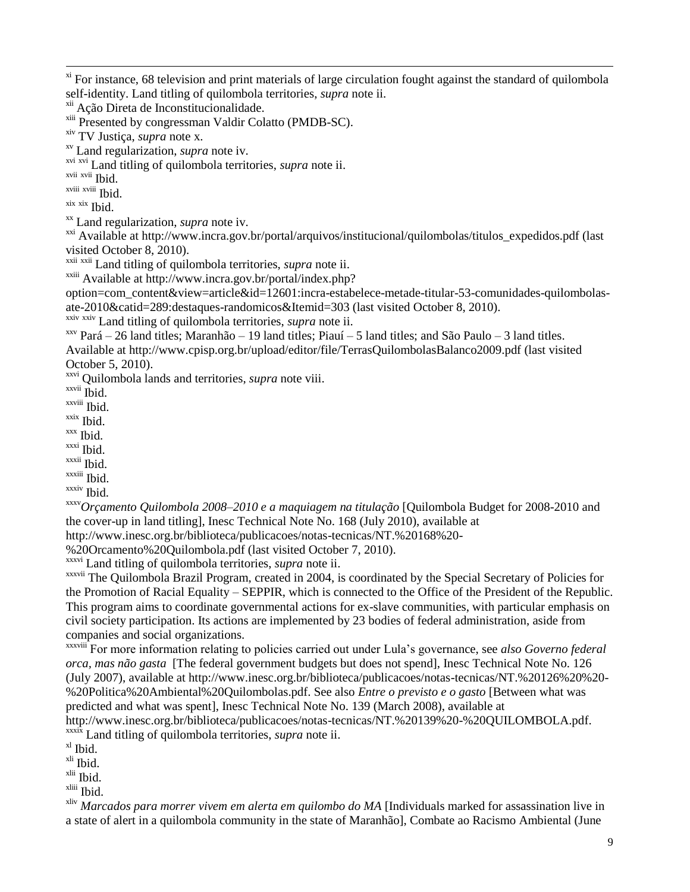<sup>xi</sup> For instance, 68 television and print materials of large circulation fought against the standard of quilombola self-identity. Land titling of quilombola territories, *supra* note ii.

xii Ação Direta de Inconstitucionalidade.

<sup>xiii</sup> Presented by congressman Valdir Colatto (PMDB-SC).

xiv TV Justiça, *supra* note x.

xv Land regularization, *supra* note iv.

xvi xvi Land titling of quilombola territories, *supra* note ii.

xvii xvii Ibid.

l

xviii xviii Ibid.

xix xix Ibid.

xx Land regularization, *supra* note iv.

xxi Available at http://www.incra.gov.br/portal/arquivos/institucional/quilombolas/titulos\_expedidos.pdf (last visited October 8, 2010).

xxii xxii Land titling of quilombola territories, *supra* note ii.

xxiii Available at http://www.incra.gov.br/portal/index.php?

option=com\_content&view=article&id=12601:incra-estabelece-metade-titular-53-comunidades-quilombolasate-2010&catid=289:destaques-randomicos&Itemid=303 (last visited October 8, 2010).

xxiv xxiv Land titling of quilombola territories, *supra* note ii.

 $xxy$  Pará – 26 land titles; Maranhão – 19 land titles; Piauí – 5 land titles; and São Paulo – 3 land titles. Available at http://www.cpisp.org.br/upload/editor/file/TerrasQuilombolasBalanco2009.pdf (last visited October 5, 2010).

xxvi Quilombola lands and territories, *supra* note viii.

xxvii Ibid.

xxviii Ibid.

xxix Ibid.

xxx Ibid.  $x$ <sup>xxxi</sup> Ibid.

xxxii Ibid.

xxxiii Ibid.

xxxiv Ibid.

xxxv*Orçamento Quilombola 2008–2010 e a maquiagem na titulação* [Quilombola Budget for 2008-2010 and the cover-up in land titling], Inesc Technical Note No. 168 (July 2010), available at

http://www.inesc.org.br/biblioteca/publicacoes/notas-tecnicas/NT.%20168%20-

%20Orcamento%20Quilombola.pdf (last visited October 7, 2010).

xxxvi Land titling of quilombola territories, *supra* note ii.

xxxvii The Quilombola Brazil Program, created in 2004, is coordinated by the Special Secretary of Policies for the Promotion of Racial Equality – SEPPIR, which is connected to the Office of the President of the Republic. This program aims to coordinate governmental actions for ex-slave communities, with particular emphasis on civil society participation. Its actions are implemented by 23 bodies of federal administration, aside from companies and social organizations.

xxxviii For more information relating to policies carried out under Lula's governance, see *also Governo federal orca, mas não gasta* [The federal government budgets but does not spend], Inesc Technical Note No. 126 (July 2007), available at http://www.inesc.org.br/biblioteca/publicacoes/notas-tecnicas/NT.%20126%20%20- %20Politica%20Ambiental%20Quilombolas.pdf. See also *Entre o previsto e o gasto* [Between what was predicted and what was spent], Inesc Technical Note No. 139 (March 2008), available at http://www.inesc.org.br/biblioteca/publicacoes/notas-tecnicas/NT.%20139%20-%20QUILOMBOLA.pdf. xxxix Land titling of quilombola territories, *supra* note ii.

 $x<sup>1</sup>$  Ibid.

xli Ibid.

xlii Ibid.

xliii Ibid.

xliv *Marcados para morrer vivem em alerta em quilombo do MA* [Individuals marked for assassination live in a state of alert in a quilombola community in the state of Maranhão], Combate ao Racismo Ambiental (June